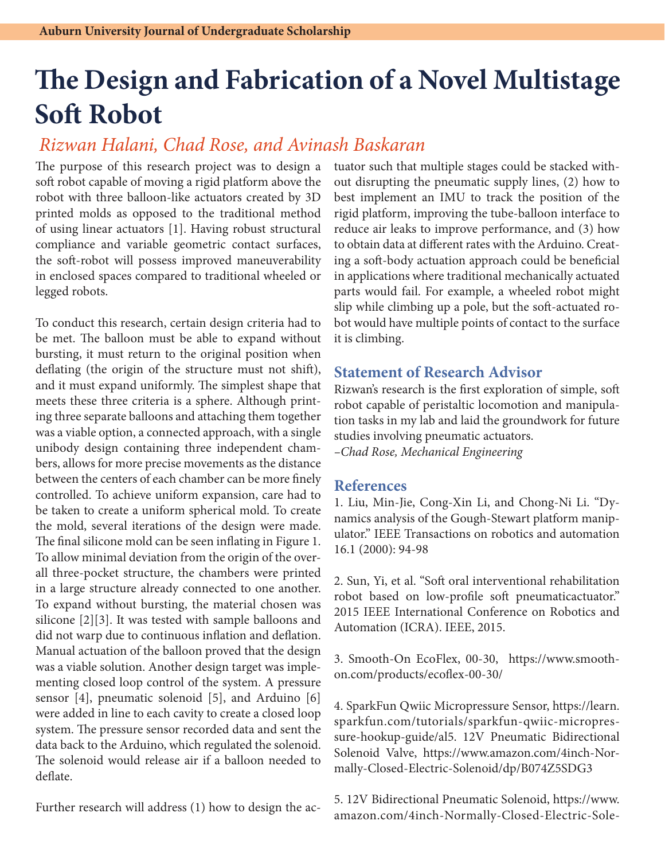## **The Design and Fabrication of a Novel Multistage Soft Robot**

## *Rizwan Halani, Chad Rose, and Avinash Baskaran*

The purpose of this research project was to design a soft robot capable of moving a rigid platform above the robot with three balloon-like actuators created by 3D printed molds as opposed to the traditional method of using linear actuators [1]. Having robust structural compliance and variable geometric contact surfaces, the soft-robot will possess improved maneuverability in enclosed spaces compared to traditional wheeled or legged robots.

To conduct this research, certain design criteria had to be met. The balloon must be able to expand without bursting, it must return to the original position when deflating (the origin of the structure must not shift), and it must expand uniformly. The simplest shape that meets these three criteria is a sphere. Although printing three separate balloons and attaching them together was a viable option, a connected approach, with a single unibody design containing three independent chambers, allows for more precise movements as the distance between the centers of each chamber can be more finely controlled. To achieve uniform expansion, care had to be taken to create a uniform spherical mold. To create the mold, several iterations of the design were made. The final silicone mold can be seen inflating in Figure 1. To allow minimal deviation from the origin of the overall three-pocket structure, the chambers were printed in a large structure already connected to one another. To expand without bursting, the material chosen was silicone [2][3]. It was tested with sample balloons and did not warp due to continuous inflation and deflation. Manual actuation of the balloon proved that the design was a viable solution. Another design target was implementing closed loop control of the system. A pressure sensor [4], pneumatic solenoid [5], and Arduino [6] were added in line to each cavity to create a closed loop system. The pressure sensor recorded data and sent the data back to the Arduino, which regulated the solenoid. The solenoid would release air if a balloon needed to deflate.

Further research will address (1) how to design the ac-

tuator such that multiple stages could be stacked without disrupting the pneumatic supply lines, (2) how to best implement an IMU to track the position of the rigid platform, improving the tube-balloon interface to reduce air leaks to improve performance, and (3) how to obtain data at different rates with the Arduino. Creating a soft-body actuation approach could be beneficial in applications where traditional mechanically actuated parts would fail. For example, a wheeled robot might slip while climbing up a pole, but the soft-actuated robot would have multiple points of contact to the surface it is climbing.

## **Statement of Research Advisor**

Rizwan's research is the first exploration of simple, soft robot capable of peristaltic locomotion and manipulation tasks in my lab and laid the groundwork for future studies involving pneumatic actuators.

*–Chad Rose, Mechanical Engineering*

## **References**

1. Liu, Min-Jie, Cong-Xin Li, and Chong-Ni Li. "Dynamics analysis of the Gough-Stewart platform manipulator." IEEE Transactions on robotics and automation 16.1 (2000): 94-98

2. Sun, Yi, et al. "Soft oral interventional rehabilitation robot based on low-profile soft pneumaticactuator." 2015 IEEE International Conference on Robotics and Automation (ICRA). IEEE, 2015.

3. Smooth-On EcoFlex, 00-30, https://www.smoothon.com/products/ecoflex-00-30/

4. SparkFun Qwiic Micropressure Sensor, https://learn. sparkfun.com/tutorials/sparkfun-qwiic-micropressure-hookup-guide/al5. 12V Pneumatic Bidirectional Solenoid Valve, https://www.amazon.com/4inch-Normally-Closed-Electric-Solenoid/dp/B074Z5SDG3

5. 12V Bidirectional Pneumatic Solenoid, https://www. amazon.com/4inch-Normally-Closed-Electric-Sole